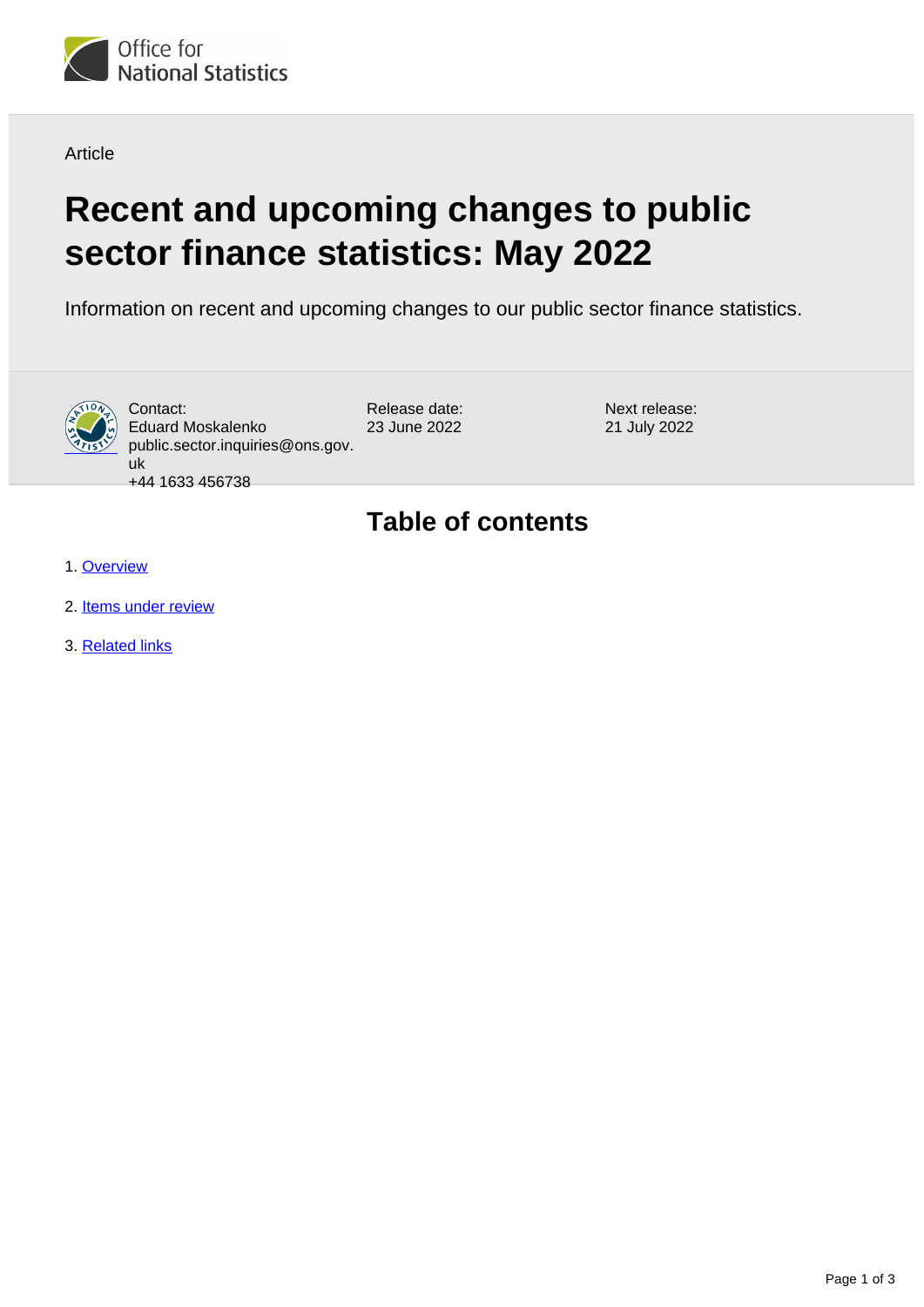

Article

# **Recent and upcoming changes to public sector finance statistics: May 2022**

Information on recent and upcoming changes to our public sector finance statistics.



Contact: Eduard Moskalenko public.sector.inquiries@ons.gov. uk +44 1633 456738

Release date: 23 June 2022 Next release: 21 July 2022

# **Table of contents**

- 1. [Overview](#page-1-0)
- 2. [Items under review](#page-1-1)
- 3. [Related links](#page-2-0)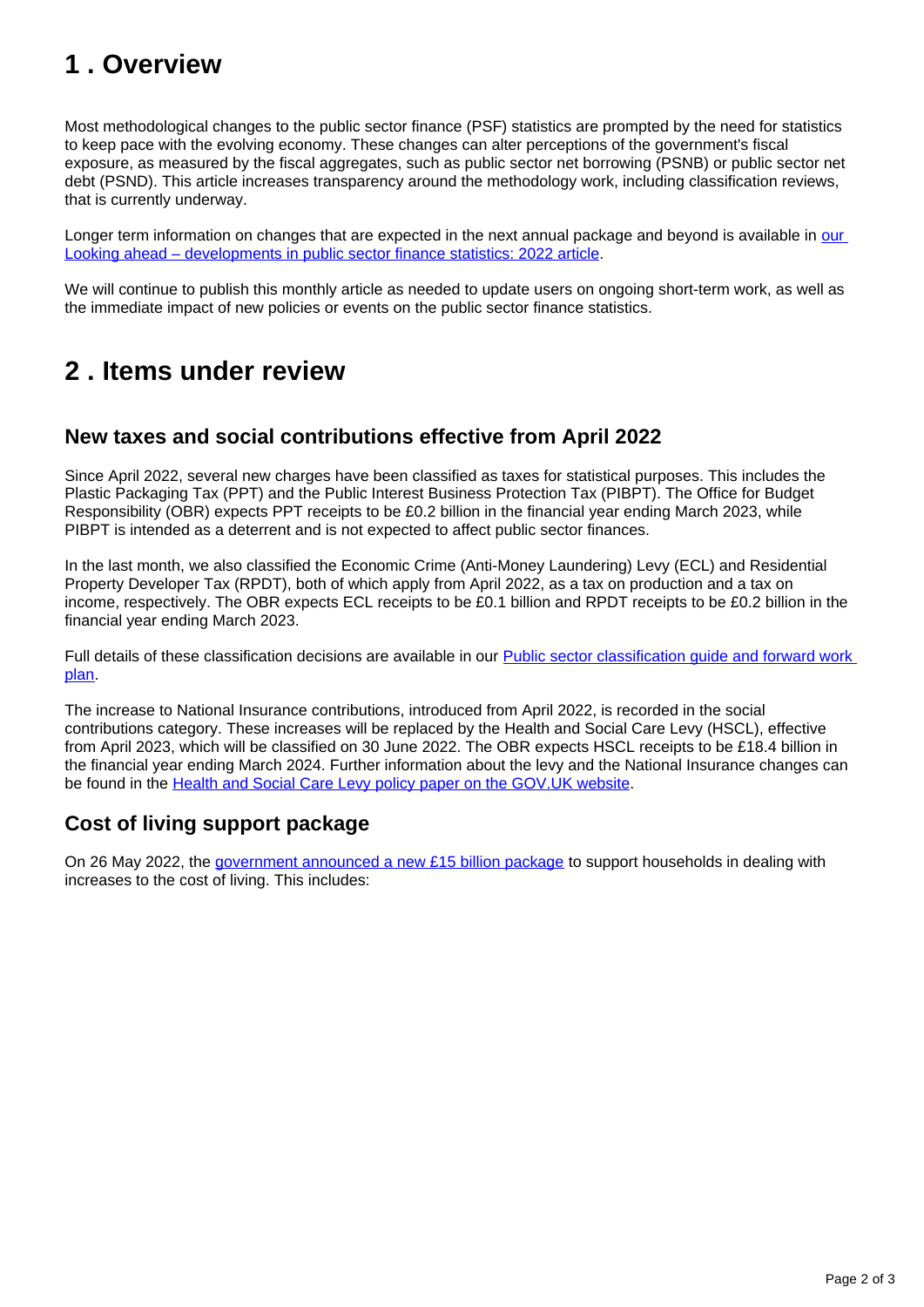# <span id="page-1-0"></span>**1 . Overview**

Most methodological changes to the public sector finance (PSF) statistics are prompted by the need for statistics to keep pace with the evolving economy. These changes can alter perceptions of the government's fiscal exposure, as measured by the fiscal aggregates, such as public sector net borrowing (PSNB) or public sector net debt (PSND). This article increases transparency around the methodology work, including classification reviews, that is currently underway.

Longer term information on changes that are expected in the next annual package and beyond is available in our [Looking ahead – developments in public sector finance statistics: 2022 article](https://www.ons.gov.uk/economy/governmentpublicsectorandtaxes/publicsectorfinance/articles/lookingaheaddevelopmentsinpublicsectorfinancestatistics/2022).

We will continue to publish this monthly article as needed to update users on ongoing short-term work, as well as the immediate impact of new policies or events on the public sector finance statistics.

## <span id="page-1-1"></span>**2 . Items under review**

#### **New taxes and social contributions effective from April 2022**

Since April 2022, several new charges have been classified as taxes for statistical purposes. This includes the Plastic Packaging Tax (PPT) and the Public Interest Business Protection Tax (PIBPT). The Office for Budget Responsibility (OBR) expects PPT receipts to be £0.2 billion in the financial year ending March 2023, while PIBPT is intended as a deterrent and is not expected to affect public sector finances.

In the last month, we also classified the Economic Crime (Anti-Money Laundering) Levy (ECL) and Residential Property Developer Tax (RPDT), both of which apply from April 2022, as a tax on production and a tax on income, respectively. The OBR expects ECL receipts to be £0.1 billion and RPDT receipts to be £0.2 billion in the financial year ending March 2023.

Full details of these classification decisions are available in our **Public sector classification quide and forward work** [plan.](https://www.ons.gov.uk/methodology/classificationsandstandards/economicstatisticsclassifications/introductiontoeconomicstatisticsclassifications)

The increase to National Insurance contributions, introduced from April 2022, is recorded in the social contributions category. These increases will be replaced by the Health and Social Care Levy (HSCL), effective from April 2023, which will be classified on 30 June 2022. The OBR expects HSCL receipts to be £18.4 billion in the financial year ending March 2024. Further information about the levy and the National Insurance changes can be found in the [Health and Social Care Levy policy paper on the GOV.UK website](https://www.gov.uk/government/publications/health-and-social-care-levy/health-and-social-care-levy).

### **Cost of living support package**

On 26 May 2022, the [government announced a new £15 billion package](https://www.gov.uk/government/news/millions-of-most-vulnerable-households-will-receive-1200-of-help-with-cost-of-living) to support households in dealing with increases to the cost of living. This includes: